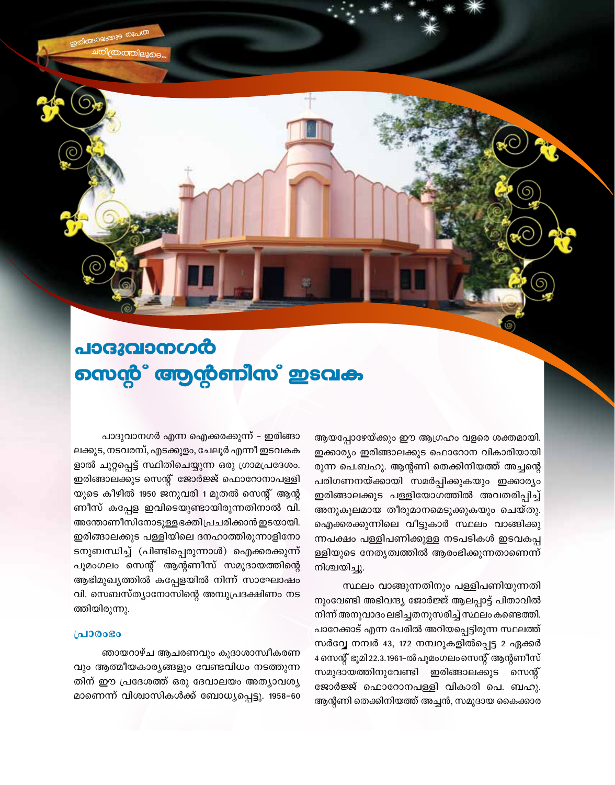പാദുവാനഗർ வைழீ் ആന്റണിസ് ഇടവക

> ആയപ്പോഴേയ്ക്കും ഈ ആഗ്രഹം വളരെ ശക്തമായി. ഇക്കാര്യം ഇരിങ്ങാലക്കുട ഫൊറോന വികാരിയായി രുന്ന പെ.ബഹു. ആന്റണി തെക്കിനിയത്ത് അച്ചന്റെ പരിഗണനയ്ക്കായി സമർപ്പിക്കുകയും ഇക്കാര്യം ഇരിങ്ങാലക്കുട പള്ളിയോഗത്തിൽ അവതരിപ്പിച്ച് അനുകൂലമായ തീരുമാനമെടുക്കുകയും ചെയ്തു. ഐക്കരക്കുന്നിലെ വീട്ടുകാർ സ്ഥലം വാങ്ങിക്കു ന്നപക്ഷം പള്ളിപണിക്കുള്ള നടപടികൾ ഇടവകപ്പ ള്ളിയുടെ നേതൃത്വത്തിൽ ആരംഭിക്കുന്നതാണെന്ന് നിശ്ചയിച്ചു.

> സ്ഥലം വാങ്ങുന്നതിനും പള്ളിപണിയുന്നതി നുംവേണ്ടി അഭിവന്ദ്യ ജോർജ്ജ് ആലപ്പാട്ട് പിതാവിൽ നിന്ന് അനുവാദം ലഭിച്ചതനുസരിച്ച് സ്ഥലം കണ്ടെത്തി. പാറേക്കാട് എന്ന പേരിൽ അറിയപ്പെട്ടിരുന്ന സ്ഥലത്ത് സർവ്വേ നമ്പർ 43, 172 നമ്പറുകളിൽപ്പെട്ട 2 ഏക്കർ 4 സെന്റ് ഭൂമി 22.3.1961-ൽ പൂമംഗലംസെന്റ് ആന്റണീസ് സമുദായത്തിനുവേണ്ടി ഇരിങ്ങാലക്കുട സെന്റ് ജോർജ്ജ് ഫൊറോനപള്ളി വികാരി പെ. ബഹു. ആന്റണി തെക്കിനിയത്ത് അച്ചൻ, സമുദായ കൈക്കാര

പാദുവാനഗർ എന്ന ഐക്കരക്കുന്ന് – ഇരിങ്ങാ ലക്കുട, നടവരമ്പ്, എടക്കുളം, ചേലൂർ എന്നീ ഇടവകക ളാൽ ചുറ്റപ്പെട്ട് സ്ഥിതിചെയ്യുന്ന ഒരു ഗ്രാമപ്രദേശം. ഇരിങ്ങാലക്കുട സെന്റ് ജോർജ്ജ് ഫൊറോനാപള്ളി യുടെ കീഴിൽ 1950 ജനുവരി 1 മുതൽ സെന്റ് ആന്റ ണീസ് കപ്പേള ഇവിടെയുണ്ടായിരുന്നതിനാൽ വി. അന്തോണീസിനോടുള്ള ഭക്തിപ്രചരിക്കാൻ ഇടയായി. ഇരിങ്ങാലക്കുട പള്ളിയിലെ ദനഹാത്തിരുന്നാളിനോ ടനുബന്ധിച്ച് (പിണ്ടിപ്പെരുന്നാൾ) ഐക്കരക്കുന്ന് പൂമംഗലം സെന്റ് ആന്റണീസ് സമുദായത്തിന്റെ ആഭിമുഖ്യത്തിൽ കപ്പേളയിൽ നിന്ന് സാഘോഷം വി. സെബസ്ത്യാനോസിന്റെ അമ്പുപ്രദക്ഷിണം നട ത്തിയിരുന്നു.

### **LaJ300Go**

ഞായറാഴ്ച ആചരണവും കൂദാശാസ്വീകരണ വും ആത്മീയകാര്യങ്ങളും വേണ്ടവിധം നടത്തുന്ന തിന് ഈ പ്രദേശത്ത് ഒരു ദേവാലയം അത്യാവശ്യ മാണെന്ന് വിശ്വാസികൾക്ക് ബോധ്യപ്പെട്ടു. 1958–60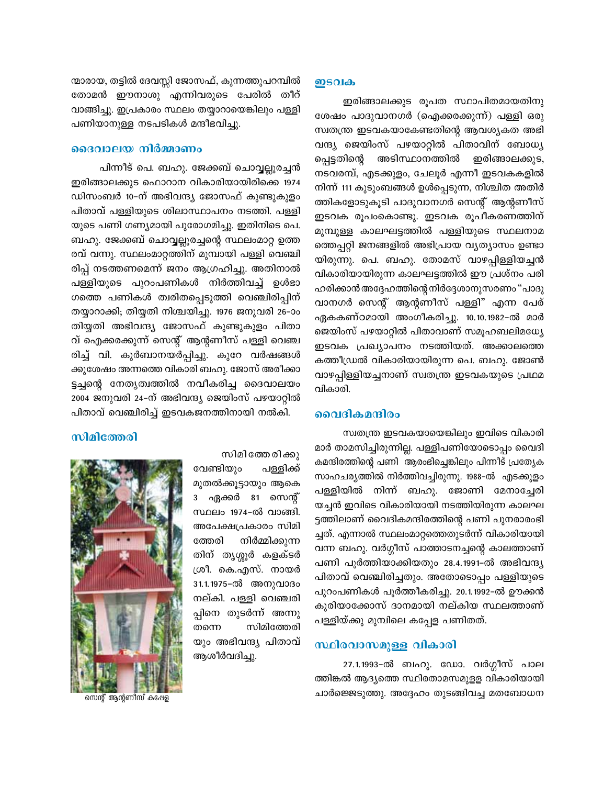ന്മാരായ, തട്ടിൽ ദേവസ്സി ജോസഫ്, കുന്നത്തുപറമ്പിൽ തോമൻ ഈനാശു എന്നിവരുടെ പേരിൽ തീറ് വാങ്ങിച്ചു. ഇപ്രകാരം സ്ഥലം തയ്യാറായെങ്കിലും പള്ളി പണിയാനുള്ള നടപടികൾ മന്ദീഭവിച്ചു.

#### ദൈവാലയ നിർമ്മാണം

പിന്നീട് പെ. ബഹു. ജേക്കബ് ചൊവ്വല്ലൂരച്ചൻ ഇരിങ്ങാലക്കുട ഫൊറാന വികാരിയായിരിക്കെ 1974 ഡിസംബർ 10–ന് അഭിവന്ദ്യ ജോസഫ് കുണ്ടുകുളം പിതാവ് പള്ളിയുടെ ശിലാസ്ഥാപനം നടത്തി. പള്ളി യുടെ പണി ഗണ്യമായി പുരോഗമിച്ചു. ഇതിനിടെ പെ. ബഹു. ജേക്കബ് ചൊവ്വല്ലൂരച്ചന്റെ സ്ഥലംമാറ്റ ഉത്ത രവ് വന്നു. സ്ഥലംമാറ്റത്തിന് മുമ്പായി പള്ളി വെഞ്ചി രിപ്പ് നടത്തണമെന്ന് ജനം ആഗ്രഹിച്ചു. അതിനാൽ പള്ളിയുടെ പുറംപണികൾ നിർത്തിവച്ച് ഉൾഭാ ഗത്തെ പണികൾ ത്വരിതപ്പെടുത്തി വെഞ്ചിരിപ്പിന് തയ്യാറാക്കി; തിയ്യതി നിശ്ചയിച്ചു. 1976 ജനുവരി 26–ാം തിയ്യതി അഭിവന്ദ്യ ജോസഫ് കുണ്ടുകുളം പിതാ വ് ഐക്കരക്കുന്ന് സെന്റ് ആന്റണീസ് പള്ളി വെഞ്ച രിച്ച് വി. കുർബാനയർപ്പിച്ചു. കുറേ വർഷങ്ങൾ ക്കുശേഷം അന്നത്തെ വികാരി ബഹു. ജോസ് അരീക്കാ ട്ടച്ചന്റെ നേതൃത്വത്തിൽ നവീകരിച്ച ദൈവാലയം 2004 ജനുവരി 24-ന് അഭിവന്ദ്യ ജെയിംസ് പഴയാറ്റിൽ പിതാവ് വെഞ്ചിരിച്ച് ഇടവകജനത്തിനായി നൽകി.

#### സിമിത്തേരി

സിമി ത്തേ രിക്കു

വേണ്ടിയും പള്ളിക്ക് മുതൽക്കൂട്ടായും ആകെ 3 ഏക്കർ 81 സെന്റ് സ്ഥലം 1974-ൽ വാങ്ങി. അപേക്ഷപ്രകാരം സിമി ത്തേരി നിർമ്മിക്കുന്ന തിന് തൃശ്ശൂർ കളക്ടർ ശ്രീ. കെ.എസ്. നായർ 31.1.1975-ൽ അനുവാദം നല്കി. പള്ളി വെഞ്ചരി പ്പിനെ തുടർന്ന് അന്നു സിമിത്തേരി തന്നെ യും അഭിവന്ദ്യ പിതാവ് ആശീർവദിച്ചു.



സെന്റ് ആന്റണിസ് കപ്പേള

### <u> ഇടവക</u>

ഇരിങ്ങാലക്കുട രൂപത സ്ഥാപിതമായതിനു ശേഷം പാദുവാനഗർ (ഐക്കരക്കുന്ന്) പള്ളി ഒരു സ്വതന്ത്ര ഇടവകയാകേണ്ടതിന്റെ ആവശ്യകത അഭി വന്ദ്യ ജെയിംസ് പഴയാറ്റിൽ പിതാവിന് ബോധ്യ അടിസ്ഥാനത്തിൽ ഇരിങ്ങാലക്കുട, പ്പെട്ടതിന്റെ നടവരമ്പ്, എടക്കുളം, ചേലൂർ എന്നീ ഇടവകകളിൽ നിന്ന് 111 കുടുംബങ്ങൾ ഉൾപ്പെടുന്ന, നിശ്ചിത അതിർ ത്തികളോടുകൂടി പാദുവാനഗർ സെന്റ് ആന്റണീസ് ഇടവക രൂപംകൊണ്ടു. ഇടവക രൂപീകരണത്തിന് മുമ്പുള്ള കാലഘട്ടത്തിൽ പള്ളിയുടെ സ്ഥലനാമ ത്തെപ്പറ്റി ജനങ്ങളിൽ അഭിപ്രായ വ്യത്യാസം ഉണ്ടാ യിരുന്നു. പെ. ബഹു. തോമസ് വാഴപ്പിള്ളിയച്ചൻ വികാരിയായിരുന്ന കാലഘട്ടത്തിൽ ഈ പ്രശ്നം പരി ഹരിക്കാൻ അദ്ദേഹത്തിന്റെ നിർദ്ദേശാനുസരണം "പാദു വാനഗർ സെന്റ് ആന്റണീസ് പള്ളി" എന്ന പേര് ഏകകണ്ഠമായി അംഗീകരിച്ചു. 10.10.1982-ൽ മാർ ജെയിംസ് പഴയാറ്റിൽ പിതാവാണ് സമൂഹബലിമധ്യേ ഇടവക പ്രഖ്യാപനം നടത്തിയത്. അക്കാലത്തെ കത്തീഡ്രൽ വികാരിയായിരുന്ന പെ. ബഹു. ജോൺ വാഴപ്പിള്ളിയച്ചനാണ് സ്വതന്ത്ര ഇടവകയുടെ പ്രഥമ വികാരി.

#### വൈദികമന്ദിരം

സ്വതന്ത്ര ഇടവകയായെങ്കിലും ഇവിടെ വികാരി മാർ താമസിച്ചിരുന്നില്ല. പള്ളിപണിയോടൊപ്പം വൈദി കമന്ദിരത്തിന്റെ പണി ആരംഭിച്ചെങ്കിലും പിന്നീട് പ്രത്യേക സാഹചര്യത്തിൽ നിർത്തിവച്ചിരുന്നു. 1988-ൽ എടക്കുളം പള്ളിയിൽ നിന്ന് ബഹു. ജോണി മേനാച്ചേരി യച്ചൻ ഇവിടെ വികാരിയായി നടത്തിയിരുന്ന കാലഘ ട്ടത്തിലാണ് വൈദികമന്ദിരത്തിന്റെ പണി പുനരാരംഭി ച്ചത്. എന്നാൽ സ്ഥലംമാറ്റത്തെതുടർന്ന് വികാരിയായി വന്ന ബഹു. വർഗ്ഗീസ് പാത്താടനച്ചന്റെ കാലത്താണ് പണി പൂർത്തിയാക്കിയതും 28.4.1991-ൽ അഭിവന്ദ്യ പിതാവ് വെഞ്ചിരിച്ചതും. അതോടൊപ്പം പള്ളിയുടെ പുറംപണികൾ പൂർത്തീകരിച്ചു. 20.1.1992-ൽ ഊക്കൻ കുരിയാക്കോസ് ദാനമായി നല്കിയ സ്ഥലത്താണ് പള്ളിയ്ക്കു മുമ്പിലെ കപ്പേള പണിതത്.

## സ്ഥിരവാസമുള്ള വികാരി

27.1.1993–ൽ ബഹു. ഡോ. വർഗ്ഗീസ് പാല ത്തിങ്കൽ ആദ്യത്തെ സ്ഥിരതാമസമുളള വികാരിയായി ചാർജ്ജെടുത്തു. അദ്ദേഹം തുടങ്ങിവച്ച മതബോധന